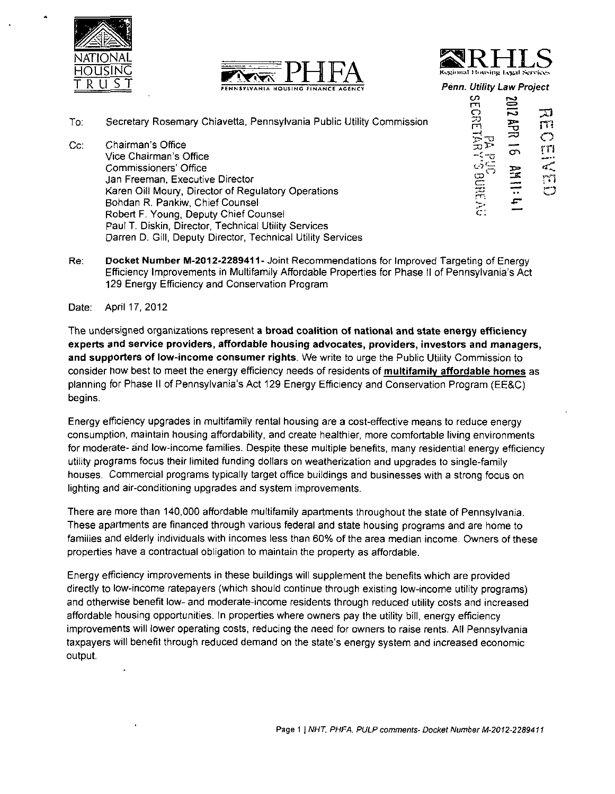





Penn. Utility Law Project

- To. Secretary Rosemary Chiavetta, Pennsylvania Public Utility Commission
- Cc: Chairman's Office Vice Chairman's Office Commissioners' Office Jan Freeman, Executive Director Karen Oill Moury, Director of Regulatory Operations Bohdan R. Pankiw, Chief Counsel Robert F. Young, Deputy Chief Counsel Paul T. Diskin, Director, Technical Utility Services Darren D. Gill, Deputy Director, Technical Utility Services

Paul T. Diskin, Director, Technical Utility Services

| ivetta, Pennsylvania Public Utility Commission                                                                                            | ဟ<br>2102<br>m<br>刀<br><u>ទី</u><br>为<br>过<br>m<br>٠ŗ<br>rri<br>రా |
|-------------------------------------------------------------------------------------------------------------------------------------------|--------------------------------------------------------------------|
| Director<br>of Regulatory Operations<br>Counsel<br>$This function is defined as follows: The equation is:\n\frac{1}{2} + \frac{1}{2} = 1$ | O)<br>$\frac{1}{2}$<br>ana<br>m<br>ా<br>$\ddot{\phantom{a}}$<br>m  |

Docket Number M-2012-2289411- Joint Recommendations for Improved Targeting of Energy Re: Efficiency Improvements in Multifamily Affordable Properties for Phase II of Pennsylvania's Act 129 Energy Efficiency and Conservation Program 129 Energy Efficiency and Conservation Program

Date: April 17, 2012

The undersigned organizations represent a broad coalition of national and state energy efficiency experts and service providers, affordable housing advocates, providers, investors and managers, and supporters of low-income consumer rights. We write to urge the Public Utility Commission to consider how best to meet the energy efficiency needs of residents of multifamily affordable homes as planning for Phase II of Pennsylvania's Act 129 Energy Efficiency and Conservation Program (EE&C) begins.

Energy efficiency upgrades in multifamily rental housing are a cost-effective means to reduce energy consumption, maintain housing affordability, and create healthier, more comfortable living environments for moderate- and low-income families. Despite these multiple benefits, many residential energy efficiency utility programs focus their limited funding dollars on weatherization and upgrades to single-family houses. Commercial programs typically target office buildings and businesses with a strong focus on lighting and air-conditioning upgrades and system improvements.

There are more than 140,000 affordable multifamily apartments throughout the state of Pennsylvania. These apartments are financed through various federal and state housing programs and are home to families and elderly individuals with incomes less than 60% of the area median income. Owners of these properties have a contractual obligation to maintain the property as affordable.

Energy efficiency improvements in these buildings will supplement the benefits which are provided directly to low-income ratepayers (which should continue through existing low-income utility programs) and otherwise benefit low- and moderate-income residents through reduced utility costs and increased affordable housing opportunities. In properties where owners pay the utility bill, energy efficiency improvements will lower operating costs, reducing the need for owners to raise rents. All Pennsylvania taxpayers will benefit through reduced demand on the state's energy system and increased economic output.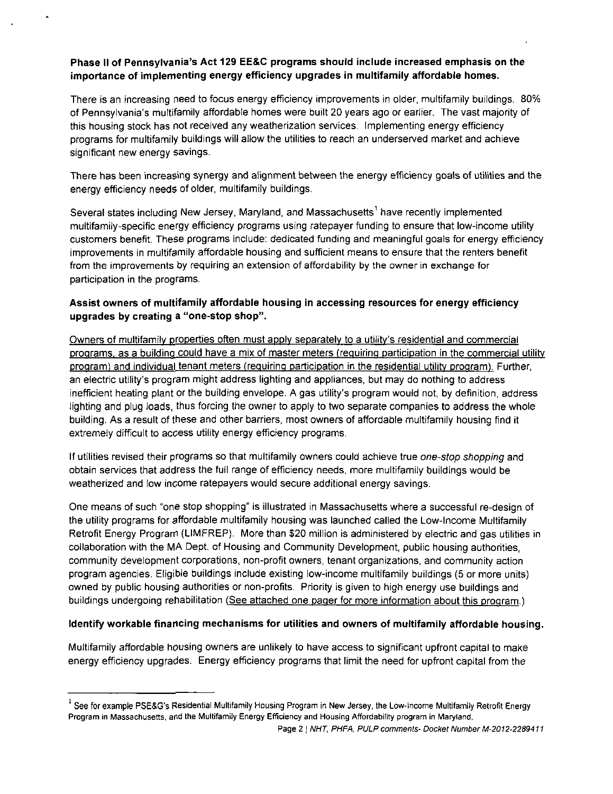#### **Phase II of Pennsylvania's Act 129 EE&C programs should include increased emphasis on the importance of implementing energy efficiency upgrades in multifamily affordable homes.**

There is an increasing need to focus energy efficiency improvements in older, multifamily buildings. 80% of Pennsylvania's multifamily affordable homes were built 20 years ago or earlier. The vast majority of this housing stock has not received any weatherization services. Implementing energy efficiency programs for multifamily buildings will allow the utilities to reach an underserved market and achieve significant new energy savings.

There has been increasing synergy and alignment between the energy efficiency goals of utilities and the energy efficiency needs of older, multifamily buildings.

Several states including New Jersey, Maryland, and Massachusetts' have recently implemented multifamily-specific energy efficiency programs using ratepayer funding to ensure that low-income utility customers benefit. These programs include: dedicated funding and meaningful goals for energy efficiency improvements in multifamily affordable housing and sufficient means to ensure that the renters benefit from the improvements by requiring an extension of affordability by the owner in exchange for participation in the programs.

#### **Assist owners of multifamily affordable housing in accessing resources for energy efficiency upgrades by creating a "one-stop shop".**

Owners of multifamily properties often must apply separately to a utility's residential and commercial programs, as a building could have a mix of master meters (requiring participation in the commercial utility program) and individual tenant meters (requiring participation in the residential utility program). Further, an electric utility's program might address lighting and appliances, but may do nothing to address inefficient heating plant or the building envelope. A gas utility's program would not, by definition, address lighting and plug loads, thus forcing the owner to apply to two separate companies to address the whole building. As a result of these and other barriers, most owners of affordable multifamily housing find it extremely difficult to access utility energy efficiency programs.

If utilities revised their programs so that multifamily owners could achieve true one-stop shopping and obtain services that address the full range of efficiency needs, more multifamily buildings would be weatherized and low income ratepayers would secure additional energy savings.

One means of such "one stop shopping" is illustrated in Massachusetts where a successful re-design of the utility programs for affordable multifamily housing was launched called the Low-Income Multifamily Retrofit Energy Program (LIMFREP). More than \$20 million is administered by electric and gas utilities in collaboration with the MA Dept. of Housing and Community Development, public housing authorities, community development corporations, non-profit owners, tenant organizations, and community action program agencies. Eligible buildings include existing low-income multifamily buildings (5 or more units) owned by public housing authorities or non-profits. Priority is given to high energy use buildings and buildings undergoing rehabilitation (See attached one pager for more information about this program.)

#### **Identify workable financing mechanisms for utilities and owners of multifamily affordable housing.**

Multifamily affordable housing owners are unlikely to have access to significant upfront capital to make energy efficiency upgrades. Energy efficiency programs that limit the need for upfront capital from the

 $\hat{\ }$  See for example PSE&G's Residential Multifamily Housing Program in New Jersey, the Low-Income Multifamily Retrofit Energy Program in Massachusetts, and the Multifamily Energy Efficiency and Housing Affordability program in Maryland.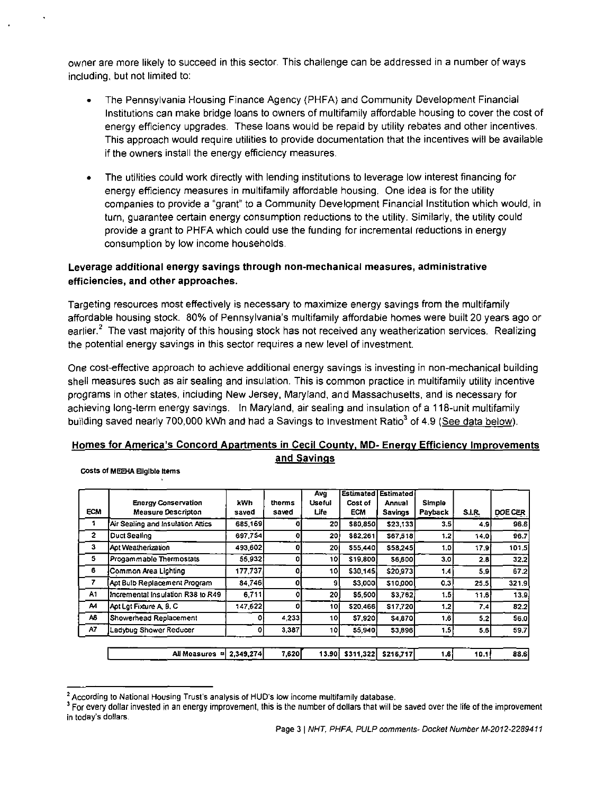owner are more likely to succeed in this sector. This challenge can be addressed in a number of ways including, but not limited to:

- The Pennsylvania Housing Finance Agency (PHFA) and Community Development Financial Institutions can make bridge loans to owners of multifamily affordable housing to cover the cost of energy efficiency upgrades. These loans would be repaid by utility rebates and other incentives. This approach would require utilities to provide documentation that the incentives will be available if the owners install the energy efficiency measures.
- The utilities could work directly with lending institutions to leverage low interest financing for energy efficiency measures in multifamily affordable housing. One idea is for the utility companies to provide a "grant" to a Community Development Financial Institution which would, in turn, guarantee certain energy consumption reductions to the utility. Similarly, the utility could provide a grant to PHFA which could use the funding for incremental reductions in energy consumption by low income households.

#### **Leverage additional energy savings through non-mechanical measures, administrative efficiencies, and other approaches.**

Targeting resources most effectively is necessary to maximize energy savings from the multifamily affordable housing stock. 80% of Pennsylvania's multifamily affordable homes were built 20 years ago or earlier.<sup>2</sup> The vast majority of this housing stock has not received any weatherization services. Realizing the potential energy savings in this sector requires a new level of investment.

One cost-effective approach to achieve additional energy savings is investing in non-mechanical building shell measures such as air sealing and insulation. This is common practice in multifamily utility incentive programs in other states, including New Jersey, Maryland, and Massachusetts, and is necessary for achieving long-term energy savings. In Maryland, air sealing and insulation of a 118-unit multifamily building saved nearly 700,000 kWh and had a Savings to Investment Ratio<sup>3</sup> of 4.9 (See data below).

### **Homes for America's Concord Apartments in Cecil Countv. MD- Energy Efficiency Improvements and Savings**

| Costs of MEEHA Eligible items |  |
|-------------------------------|--|
|-------------------------------|--|

| <b>ECM</b>     | <b>Energy Conservation</b><br><b>Measure Descripton</b> | k Wh<br>saved | therms<br>saved | Avg<br>Useful<br>Life | Estimated<br>Cost of<br><b>ECM</b> | Estimated<br>Annual<br><b>Savings</b> | Simple<br>Payback | <b>S.I.R.</b> | DOE CER |
|----------------|---------------------------------------------------------|---------------|-----------------|-----------------------|------------------------------------|---------------------------------------|-------------------|---------------|---------|
|                | Air Sealing and Insulation Attics                       | 685,169       |                 | 20                    | <b>SBD 8501</b>                    | \$23 133                              | 3.5I              | 4.9           | 96.6    |
| $\overline{2}$ | Duct Sealing                                            | 697,754       |                 | 20 l                  | \$82.261                           | \$67,518                              | 1.2               | 14.0          | 96.7    |
| 3              | Apt Weathenzation                                       | 493,602       | ٥               | 20                    | \$55,440                           | S58.245                               | 1.0               | 17.9          | 101.5   |
| s              | Progammable Thermostats                                 | 55,932        | Ω               | 101                   | \$19,800                           | <b>S6,600</b>                         | 3.0               | 2.8           | 32.2    |
| 6              | Common Area Lighting                                    | 177,737       | o               | 101                   | \$30,145                           | \$20,973                              | 1.4               | 5.9           | 67.2    |
| 7              | Apt Bulb Replacement Program                            | 84,746        | 0               | 91                    | <b>S3.000</b>                      | \$10,000                              | 0.3               | 25.5          | 321.9   |
| A1             | Incremental Insulation R38 to R49                       | 6,711         | o               | 20                    | <b>S5.500</b>                      | \$3,762                               | 1.51              | 11.6          | 13.9    |
| Α4             | Apt Lat Fixture A. B. C.                                | 147,622       | ٥               | 10I                   | 520,466                            | <b>S17720</b>                         | 1.2               | 7.4           | 82.2    |
| A6             | Showerhead Replacement                                  |               | 4 2 3 3 1       | 10                    | <b>S7 920</b>                      | <b>\$4870</b>                         | 1.6               | 5.2           | 56.0    |
| A7             | Ladybug Shower Reducer                                  | 0             | 3,387           | 10                    | \$5,940                            | \$3,896                               | 1.5               | 5.6           | 59.7    |
|                |                                                         |               |                 |                       |                                    |                                       |                   |               |         |
|                | All Moasures =                                          | 2.349,274     | 7,620           |                       | 13.90 \$311.322                    | S216 717                              | 1.6               | 10.1          | 88.6    |

<sup>&</sup>lt;sup>2</sup> According to National Housing Trust's analysis of HUD's low income multifamily database.

<sup>&</sup>lt;sup>3</sup> For every dollar invested in an energy improvement, this is the number of dollars that will be saved over the life of the improvement in today's dollars.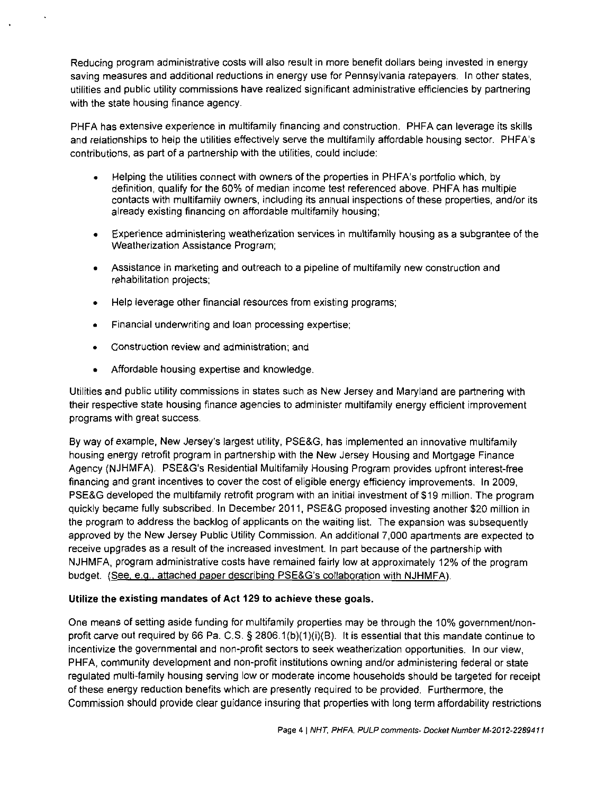Reducing program administrative costs will also result in more benefit dollars being invested in energy saving measures and additional reductions in energy use for Pennsylvania ratepayers. In other states, utilities and public utility commissions have realized significant administrative efficiencies by partnering with the state housing finance agency.

PHFA has extensive experience in multifamily financing and construction. PHFA can leverage its skills and relationships to help the utilities effectively serve the multifamily affordable housing sector. PHFA's contributions, as part of a partnership with the utilities, could include:

- Helping the utilities connect with owners of the properties in PHFA's portfolio which, by definition, qualify for the 60% of median income test referenced above. PHFA has multiple contacts with multifamily owners, including its annual inspections of these properties, and/or its already existing financing on affordable multifamily housing;
- Experience administering weatherization services in multifamily housing as a subgrantee of the Weatherization Assistance Program;
- Assistance in marketing and outreach to a pipeline of multifamily new construction and rehabilitation projects;
- Help leverage other financial resources from existing programs;
- Financial underwriting and loan processing expertise;
- Construction review and administration; and
- Affordable housing expertise and knowledge.

Utilities and public utility commissions in states such as New Jersey and Maryland are partnering with their respective state housing finance agencies to administer multifamily energy efficient improvement programs with great success.

By way of example, New Jersey's largest utility, PSE&G, has implemented an innovative multifamily housing energy retrofit program in partnership with the New Jersey Housing and Mortgage Finance Agency (NJHMFA). PSE&G's Residential Multifamily Housing Program provides upfront interest-free financing and grant incentives to cover the cost of eligible energy efficiency improvements. In 2009, PSE&G developed the multifamily retrofit program with an initial investment of \$19 million. The program quickly became fully subscribed. In December 2011, PSE&G proposed investing another \$20 million in the program to address the backlog of applicants on the waiting list. The expansion was subsequently approved by the New Jersey Public Utility Commission. An additional 7,000 apartments are expected to receive upgrades as a result of the increased investment. In part because of the partnership with NJHMFA, program administrative costs have remained fairly low at approximately 12% of the program budget. (See, e.g.. attached paper describing PSE&G's collaboration with NJHMFA).

#### **Utilize the existing mandates of Act 129 to achieve these goals.**

One means of setting aside funding for multifamily properties may be through the 10% government/nonprofit carve out required by 66 Pa. C.S. § 2806.1(b)(1)(i)(B). It is essential that this mandate continue to incentivize the governmental and non-profit sectors to seek weatherization opportunities. In our view, PHFA, community development and non-profit institutions owning and/or administering federal or state regulated multi-family housing serving low or moderate income households should be targeted for receipt of these energy reduction benefits which are presently required to be provided. Furthermore, the Commission should provide clear guidance insuring that properties with long term affordability restrictions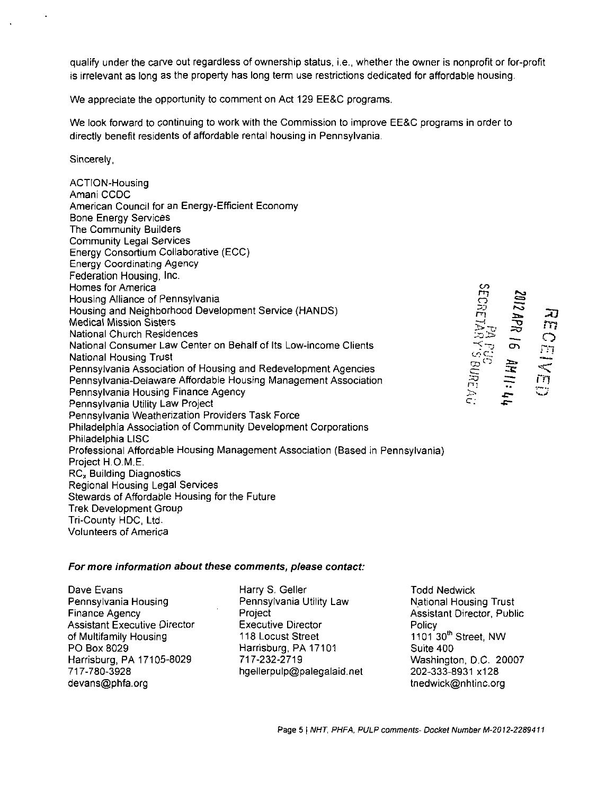qualify under the carve out regardless of ownership status, i.e., whether the owner is nonprofit or for-profit is irrelevant as long as the property has long term use restrictions dedicated for affordable housing.

We appreciate the opportunity to comment on Act 129 EE&C programs.

We look forward to continuing to work with the Commission to improve EE&C programs in order to directly benefit residents of affordable rental housing in Pennsylvania.

Sincerely,

ACTION-Housing Amani CCDC American Council for an Energy-Efficient Economy Bone Energy Services The Community Builders Community Legal Services Energy Consortium Collaborative (ECC) Energy Coordinating Agency Federation Housing, Inc. Homes for America Housing Alliance of Pennsylvania Housing and Neighborhood Development Service (HANDS) Medical Mission Sisters National Church Residences National Consumer Law Center on Behalf of Its Low-income Clients National Housing Trust Pennsylvania Association of Housing and Redevelopment Agencies Pennsylvania-Delaware Affordable Housing Management Association Pennsylvania Housing Finance Agency Pennsylvania Utility Law Project Pennsylvania Weatherization Providers Task Force Philadelphia Association of Community Development Corporations Philadelphia LISC Professional Affordable Housing Management Association (Based in Pennsylvania) Project H.O.M.E. RC<sub>x</sub> Building Diagnostics Regional Housing Legal Services Stewards of Affordable Housing for the Future Trek Development Group Tri-County HDC, Ltd. Volunteers of America  $\bm{\sigma}$ n-;  $\subset$  :

**o**   $\mathbf{\tau}$  $\overline{5}$ -5 *XI*  **m o**  rn<br>T  $\leq$ **< rn** 

#### **For more information about these comments, please contact:**

Dave Evans Pennsylvania Housing Finance Agency Assistant Executive Director of Multifamily Housing PO Box 8029 Harrisburg, PA 17105-8029 717-780-3928 devans@phfa.org

Harry S. Geller Pennsylvania Utility Law Project Executive Director 118 Locust Street Harrisburg, PA 17101 717-232-2719 hgellerpulp@palegalaid.net Todd Nedwick National Housing Trust Assistant Director, Public Policy 1101 30" Street, NW Suite 400 Washington, D.C. 20007 202-333-8931 x128 tnedwick@nhtinc.org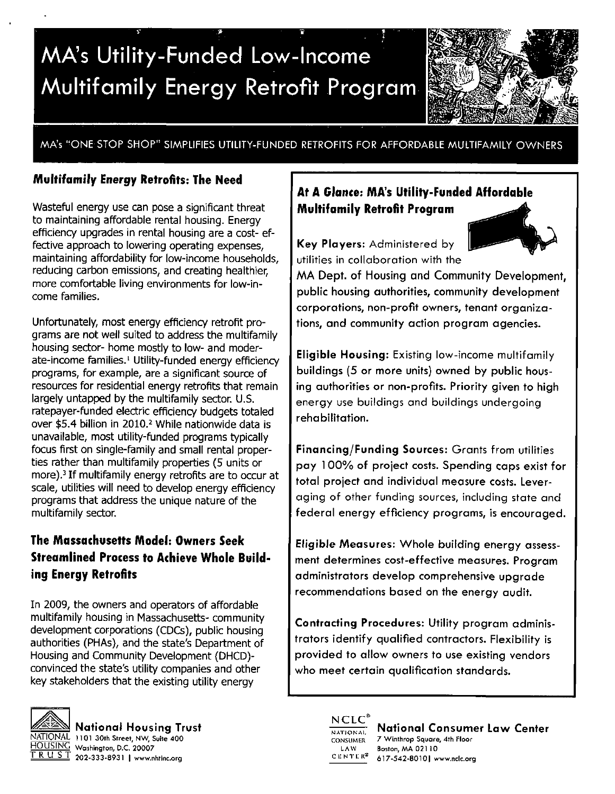# **MA's Utility-Funded Low-Income Multifamily Energy Retrofit Program**



MA's "ONE STOP SHOP" SIMPLIFIES UTILITY-FUNDED RETROFITS FOR AFFORDABLE MULTIFAMILY OWNERS

## **Multifamily Energy Retrofits: The Need**

Wasteful energy use can pose a significant threat to maintaining affordable rental housing. Energy efficiency upgrades in rental housing are a cost- effective approach to lowering operating expenses, maintaining affordability for low-income households, reducing carbon emissions, and creating healthier, more comfortable living environments for low-income families.

Unfortunately, most energy efficiency retrofit programs are not well suited to address the multifamily housing sector- home mostly to low- and moderate-income families.<sup>1</sup> Utility-funded energy efficiency programs, for example, are a significant source of resources for residential energy retrofits that remain largely untapped by the multifamily sector. U.S. ratepayer-funded electric efficiency budgets totaled over \$5.4 billion in 2010.<sup>2</sup> While nationwide data is unavailable, most utility-funded programs typically focus first on single-family and small rental properties rather than multifamily properties (5 units or more).<sup>3</sup> If multifamily energy retrofits are to occur at scale, utilities will need to develop energy efficiency programs that address the unique nature of the multifamily sector.

## **The Massachusetts Model: Owners Seek Streamlined Process to Achieve Whole Building Energy Retrofits**

In 2009, the owners and operators of affordable multifamily housing in Massachusetts- community development corporations (CDCs), public housing authorities (PHAs), and the state's Department of Housing and Community Development (DHCD) convinced the state's utility companies and other key stakeholders that the existing utility energy



National Housing Trust NATIONAL 1101 30th Street, NW, Suite 400 HOUSING Washington, D.C. 20007  $\overline{R \cup S}$   $\overline{S}$  202-333-8931 | www.nhtinc.org

## **At A Glance: MA's Utility-Funded Affordable Multifamily Retrofit Program**

Key Players: Administered by utilities in collaboration with the

MA Dept. of Housing and Community Development, public housing authorities, community development corporations, non-profit owners, tenant organizations, and community action program agencies.

Eligible Housing: Existing low-income multifamily buildings (5 or more units) owned by public housing authorities or non-profits. Priority given to high energy use buildings and buildings undergoing rehabilitation.

Financing/Funding Sources: Grants from utilities pay 100% of project costs. Spending caps exist for total project and individual measure costs. Leveraging of other funding sources, including state and federal energy efficiency programs, is encouraged.

Eligible Measures: Whole building energy assessment determines cost-effective measures. Program administrators develop comprehensive upgrade recommendations based on the energy audit.

Contracting Procedures: Utility program administrators identify qualified contractors. Flexibility is provided to allow owners to use existing vendors who meet certain qualification standards.



National Consumer Law Center 7 Winthrop Square, 4th Floor Boston, MA 021 10 617-542-80101 www.ndc.org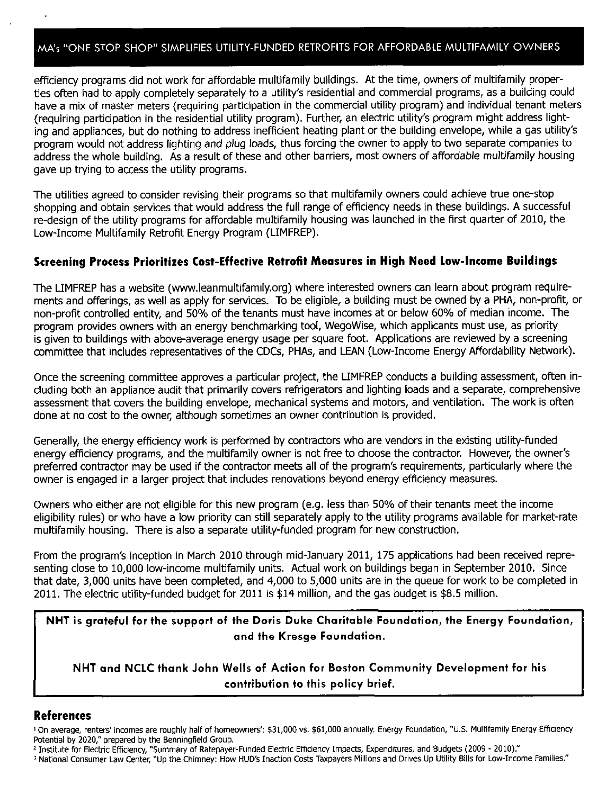## MA's "ONE STOP SHOP" SIMPLIFIES UTILITY-FUNDED RETROFITS FOR AFFORDABLE MULTIFAMILY OWNERS

efficiency programs did not work for affordable multifamily buildings. At the time, owners of multifamily properties often had to apply completely separately to a utility's residential and commercial programs, as a building could have a mix of master meters (requiring participation in the commercial utility program) and individual tenant meters (requiring participation in the residential utility program). Further, an electric utility's program might address lighting and appliances, but do nothing to address inefficient heating plant or the building envelope, while a gas utility's program would not address lighting and plug loads, thus forcing the owner to apply to two separate companies to address the whole building. As a result of these and other barriers, most owners of affordable multifamily housing gave up trying to access the utility programs.

The utilities agreed to consider revising their programs so that multifamily owners could achieve true one-stop shopping and obtain services that would address the full range of efficiency needs in these buildings. A successful re-design of the utility programs for affordable multifamily housing was launched in the first quarter of 2010, the Low-Income Multifamily Retrofit Energy Program (LIMFREP).

## **Screening Process Prioritizes Cost-Effective Retrofit Measures in High Need Low-Income Buildings**

The LIMFREP has a website (www.leanmultifamily.org) where interested owners can learn about program requirements and offerings, as well as apply for services. To be eligible, a building must be owned by a PHA, non-profit, or non-profit controlled entity, and 50% of the tenants must have incomes at or below 60% of median income. The program provides owners with an energy benchmarking tool, WegoWise, which applicants must use, as priority is given to buildings with above-average energy usage per square foot. Applications are reviewed by a screening committee that includes representatives of the CDCs, PHAs, and LEAN (Low-Income Energy Affordability Network).

Once the screening committee approves a particular project, the LIMFREP conducts a building assessment, often including both an appliance audit that primarily covers refrigerators and lighting loads and a separate, comprehensive assessment that covers the building envelope, mechanical systems and motors, and ventilation. The work is often done at no cost to the owner, although sometimes an owner contribution is provided.

Generally, the energy efficiency work is performed by contractors who are vendors in the existing utility-funded energy efficiency programs, and the multifamily owner is not free to choose the contractor. However, the owner's preferred contractor may be used if the contractor meets all of the program's requirements, particularly where the owner is engaged in a larger project that includes renovations beyond energy efficiency measures.

Owners who either are not eligible for this new program (e.g. less than 50% of their tenants meet the income eligibility rules) or who have a low priority can still separately apply to the utility programs available for market-rate multifamily housing. There is also a separate utility-funded program for new construction.

From the program's inception in March 2010 through mid-January 2011, 175 applications had been received representing close to 10,000 low-income multifamily units. Actual work on buildings began in September 2010. Since that date, 3,000 units have been completed, and 4,000 to 5,000 units are in the queue for work to be completed in 2011. The electric utility-funded budget for 2011 is \$14 million, and the gas budget is \$8.5 million.

NHT is grateful for the support of the Doris Duke Charitable Foundation, the Energy Foundation, and the Kresge Foundation.

NHT and NCLC thank John Wells of Action for Boston Community Development for his contribution to this policy brief.

## **References**

: On average, renters' incomes are roughly half of homeowners': \$31,000 vs. \$61,000 annually. Energy Foundation, "U.S. Multifamily Energy Efficiency Potential by 2020/' prepared by the Benningfield Group.

- 2 Institute for Electric Efficiency, "Summary of Ratepayer-Funded Electric Efficiency Impacts, Expenditures, and Budgets (2009 2010)."
- 3 National Consumer Law Center, "Up the Chimney: How HUD's Inaction Costs Taxpayers Millions and Drives Up Utility Bills for Low-Income Families."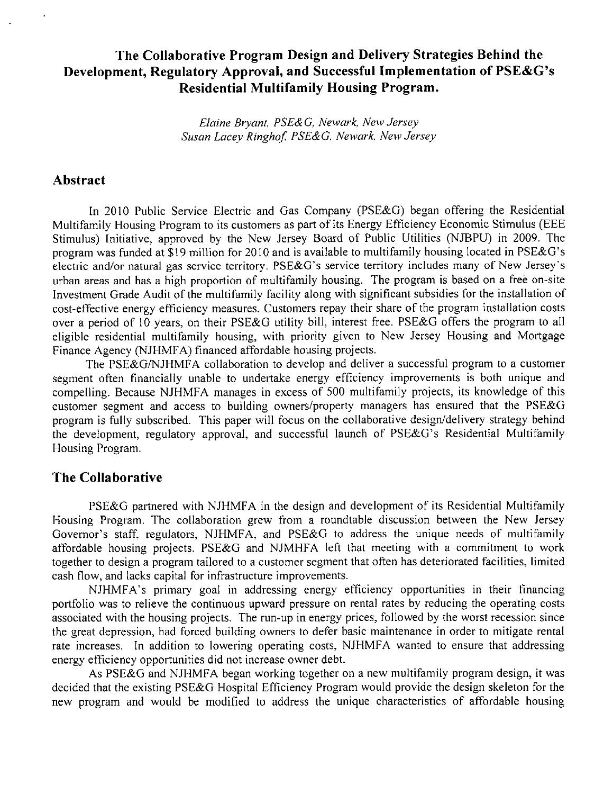## **The Collaborative Program Design and Delivery Strategies Behind the Development, Regulatory Approval, and Successful Implementation of PSE&G's Residential Multifamily Housing Program.**

*Elaine Bryant, PSE&G, Newark, New Jersey Susan Lacey Ringhof. PSE&G, Newark. NewJersey* 

## **Abstract**

In 2010 Public Service Electric and Gas Company (PSE&G) began offering the Residential Multifamily Housing Program to its customers as part of its Energy Efficiency Economic Stimulus (EEE Stimulus) Initiative, approved by the New Jersey Board of Public Utilities (NJBPU) in 2009. The program was funded at \$19 million for 2010 and is available to multifamily housing located in PSE&G's electric and/or natural gas service territory. PSE&G's service territory includes many of New Jersey's urban areas and has a high proportion of multifamily housing. The program is based on a free on-site Investment Grade Audit of the multifamily facility along with significant subsidies for the installation of cost-effective energy efficiency measures. Customers repay their share of the program installation costs over a period of 10 years, on their PSE&G utility bill, interest free. PSE&G offers the program to all eligible residential multifamily housing, with priority given to New Jersey Housing and Mortgage Finance Agency (NJHMFA) financed affordable housing projects.

The PSE&G/NJHMFA collaboration to develop and deliver a successful program to a customer segment often financially unable to undertake energy efficiency improvements is both unique and compelling. Because NJHMFA manages in excess of 500 multifamily projects, its knowledge of this customer segment and access to building owners/property managers has ensured that the PSE&G program is fully subscribed. This paper will focus on the collaborative design/delivery strategy behind the development, regulatory approval, and successful launch of PSE&G's Residential Multifamily Housing Program.

## **The Collaborative**

PSE&G partnered with NJHMFA in the design and development of its Residential Multifamily Housing Program. The collaboration grew from a roundtable discussion between the New Jersey Governor's staff, regulators, NJHMFA, and PSE&G to address the unique needs of multifamily affordable housing projects. PSE&G and NJMHFA left that meeting with a commitment to work together to design a program tailored to a customer segment that often has deteriorated facilities, limited cash flow, and lacks capital for infrastructure improvements.

NJHMFA's primary goal in addressing energy efficiency opportunities in their financing portfolio was to relieve the continuous upward pressure on rental rates by reducing the operating costs associated with the housing projects. The run-up in energy prices, followed by the worst recession since the great depression, had forced building owners to defer basic maintenance in order to mitigate rental rate increases. In addition to lowering operating costs, NJHMFA wanted to ensure that addressing energy efficiency opportunities did not increase owner debt.

As PSE&G and NJHMFA began working together on a new multifamily program design, it was decided that the existing PSE&G Hospital Efficiency Program would provide the design skeleton for the new program and would be modified to address the unique characteristics of affordable housing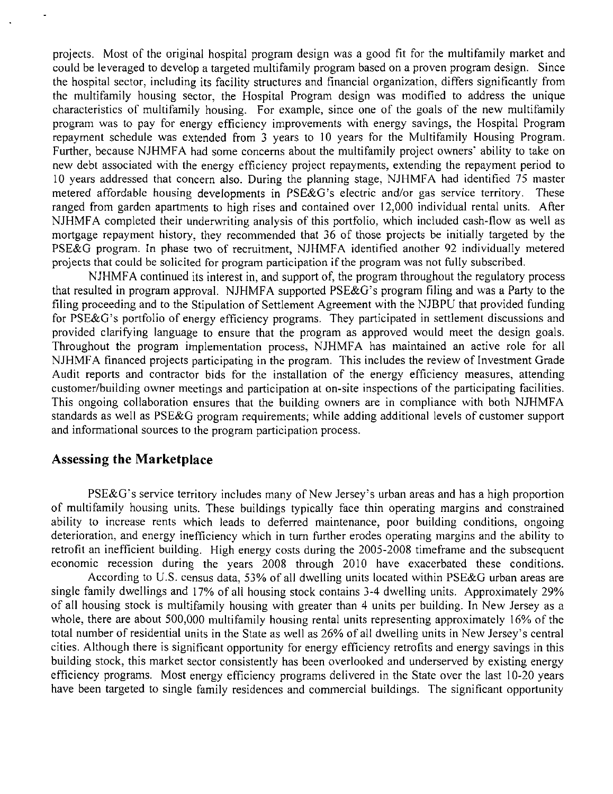projects. Most of the original hospital program design was a good fit for the multifamily market and could be leveraged to develop a targeted multifamily program based on a proven program design. Since the hospital sector, including its facility structures and financial organization, differs significantly from the multifamily housing sector, the Hospital Program design was modified to address the unique characteristics of multifamily housing. For example, since one of the goals of the new multifamily program was to pay for energy efficiency improvements with energy savings, the Hospital Program repayment schedule was extended from 3 years to 10 years for the Multifamily Housing Program. Further, because NJHMFA had some concerns about the multifamily project owners' ability to take on new debt associated with the energy efficiency project repayments, extending the repayment period to 10 years addressed that concern also. During the planning stage, NJHMFA had identified 75 master metered affordable housing developments in PSE&G's electric and/or gas service territory. These ranged from garden apartments to high rises and contained over 12,000 individual rental units. After NJHMFA completed their underwriting analysis of this portfolio, which included cash-flow as well as mortgage repayment history, they recommended that 36 of those projects be initially targeted by the PSE&G program. In phase two of recruitment, NJHMFA identified another 92 individually metered projects that could be solicited for program participation if the program was not fully subscribed.

NJHMFA continued its interest in, and support of, the program throughout the regulatory process that resulted in program approval. NJHMFA supported PSE&G's program filing and was a Party to the filing proceeding and to the Stipulation of Settlement Agreement with the NJBPU that provided funding for PSE&G's portfolio of energy efficiency programs. They participated in settlement discussions and provided clarifying language to ensure that the program as approved would meet the design goals. Throughout the program implementation process, NJHMFA has maintained an active role for all NJHMFA financed projects participating in the program. This includes the review of Investment Grade Audit reports and contractor bids for the installation of the energy efficiency measures, attending customer/building owner meetings and participation at on-site inspections of the participating facilities. This ongoing collaboration ensures that the building owners are in compliance with both NJHMFA standards as well as PSE&G program requirements; while adding additional levels of customer support and informational sources to the program participation process.

## **Assessing the Marketplace**

PSE&G's service territory includes many of New Jersey's urban areas and has a high proportion of multifamily housing units. These buildings typically face thin operating margins and constrained ability to increase rents which leads to deferred maintenance, poor building conditions, ongoing deterioration, and energy inefficiency which in turn further erodes operating margins and the ability to retrofit an inefficient building. High energy costs during the 2005-2008 timeframe and the subsequent economic recession during the years 2008 through 2010 have exacerbated these conditions.

According to U.S. census data, 53% of all dwelling units located within PSE&G urban areas are single family dwellings and 17% of all housing stock contains 3-4 dwelling units. Approximately 29% of all housing stock is multifamily housing with greater than 4 units per building. In New Jersey as a whole, there are about 500,000 multifamily housing rental units representing approximately 16% of the total number of residential units in the State as well as 26% of all dwelling units in New Jersey's central cities. Although there is significant opportunity for energy efficiency retrofits and energy savings in this building stock, this market sector consistently has been overlooked and underserved by existing energy efficiency programs. Most energy efficiency programs delivered in the State over the last 10-20 years have been targeted to single family residences and commercial buildings. The significant opportunity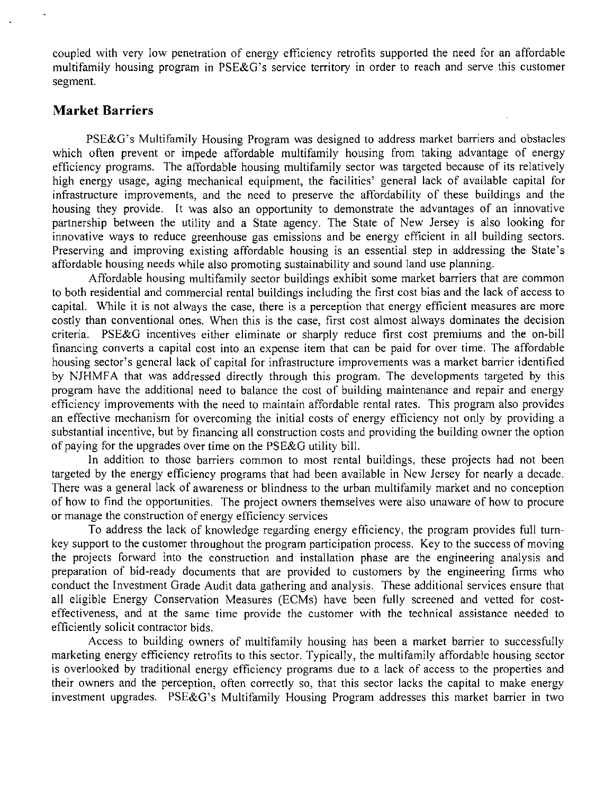coupled with very low penetration of energy efficiency retrofits supported the need for an affordable multifamily housing program in PSE&G's service territory in order to reach and serve this customer segment.

## **Market Barriers**

PSE&G? s Multifamily Housing Program was designed to address market barriers and obstacles which often prevent or impede affordable multifamily housing from taking advantage of energy efficiency programs. The affordable housing multifamily sector was targeted because of its relatively high energy usage, aging mechanical equipment, the facilities' general lack of available capital for infrastructure improvements, and the need to preserve the affordability of these buildings and the housing they provide. It was also an opportunity to demonstrate the advantages of an innovative partnership between the utility and a State agency. The State of New Jersey is also looking for innovative ways to reduce greenhouse gas emissions and be energy efficient in all building sectors. Preserving and improving existing affordable housing is an essential step in addressing the State's affordable housing needs while also promoting sustainability and sound land use planning.

Affordable housing multifamily sector buildings exhibit some market barriers that are common to both residential and commercial rental buildings including the first cost bias and the lack of access to capital. While it is not always the case, there is a perception that energy efficient measures are more costly than conventional ones. When this is the case, first cost almost always dominates the decision criteria. PSE&G incentives either eliminate or sharply reduce first cost premiums and the on-bill financing converts a capital cost into an expense item that can be paid for over time. The affordable housing sector's general lack of capital for infrastructure improvements was a market barrier identified by NJHMFA that was addressed directly through this program. The developments targeted by this program have the additional need to balance the cost of building maintenance and repair and energy efficiency improvements with the need to maintain affordable rental rates. This program also provides an effective mechanism for overcoming the initial costs of energy efficiency not only by providing a substantial incentive, but by financing all construction costs and providing the building owner the option of paying for the upgrades over time on the PSE&G utility bill.

In addition to those barriers common to most rental buildings, these projects had not been targeted by the energy efficiency programs that had been available in New Jersey for nearly a decade. There was a general lack of awareness or blindness to the urban multifamily market and no conception of how to find the opportunities. The project owners themselves were also unaware of how to procure or manage the construction of energy efficiency services

To address the lack of knowledge regarding energy efficiency, the program provides full turnkey support to the customer throughout the program participation process. Key to the success of moving the projects forward into the construction and installation phase are the engineering analysis and preparation of bid-ready documents that are provided to customers by the engineering firms who conduct the Investment Grade Audit data gathering and analysis. These additional services ensure that all eligible Energy Conservation Measures (ECMs) have been fully screened and vetted for costeffectiveness, and at the same time provide the customer with the technical assistance needed to efficiently solicit contractor bids.

Access to building owners of multifamily housing has been a market barrier to successfully marketing energy efficiency retrofits to this sector. Typically, the multifamily affordable housing sector is overlooked by traditional energy efficiency programs due to a lack of access to the properties and their owners and the perception, often correctly so, that this sector lacks the capital to make energy investment upgrades. PSE&G's Multifamily Housing Program addresses this market barrier in two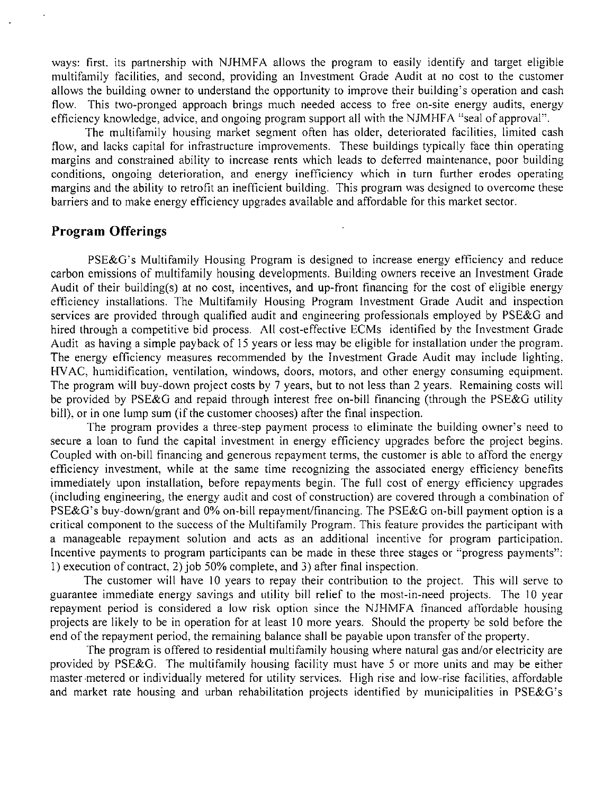ways: first, its partnership with NJHMFA allows the program to easily identify and target eligible multifamily facilities, and second, providing an Investment Grade Audit at no cost to the customer allows the building owner to understand the opportunity to improve their building's operation and cash flow. This two-pronged approach brings much needed access to free on-site energy audits, energy efficiency knowledge, advice, and ongoing program support all with the NJMHFA "seal of approval".

The multifamily housing market segment often has older, deteriorated facilities, limited cash flow, and lacks capital for infrastructure improvements. These buildings typically face thin operating margins and constrained ability to increase rents which leads to deferred maintenance, poor building conditions, ongoing deterioration, and energy inefficiency which in turn further erodes operating margins and the ability to retrofit an inefficient building. This program was designed to overcome these barriers and to make energy efficiency upgrades available and affordable for this market sector.

## **Program Offerings**

PSE&G's Multifamily Housing Program is designed to increase energy efficiency and reduce carbon emissions of multifamily housing developments. Building owners receive an Investment Grade Audit of their building(s) at no cost, incentives, and up-front financing for the cost of eligible energy efficiency installations. The Multifamily Housing Program Investment Grade Audit and inspection services are provided through qualified audit and engineering professionals employed by PSE&G and hired through a competitive bid process. All cost-effective ECMs identified by the Investment Grade Audit as having a simple payback of 15 years or less may be eligible for installation under the program. The energy efficiency measures recommended by the Investment Grade Audit may include lighting, HVAC, humidification, ventilation, windows, doors, motors, and other energy consuming equipment. The program will buy-down project costs by 7 years, but to not less than 2 years. Remaining costs will be provided by PSE&G and repaid through interest free on-bill financing (through the PSE&G utility bill), or in one lump sum (if the customer chooses) after the final inspection.

The program provides a three-step payment process to eliminate the building owner's need to secure a loan to fund the capital investment in energy efficiency upgrades before the project begins. Coupled with on-bill financing and generous repayment terms, the customer is able to afford the energy efficiency investment, while at the same time recognizing the associated energy efficiency benefits immediately upon installation, before repayments begin. The full cost of energy efficiency upgrades (including engineering, the energy audit and cost of construction) are covered through a combination of PSE&G's buy-down/grant and 0% on-bill repayment/financing. The PSE&G on-bill payment option is a critical component to the success of the Multifamily Program. This feature provides the participant with a manageable repayment solution and acts as an additional incentive for program participation. Incentive payments to program participants can be made in these three stages or "progress payments": 1) execution of contract, 2) job 50% complete, and 3) after final inspection.

The customer will have 10 years to repay their contribution to the project. This will serve to guarantee immediate energy savings and utility bill relief to the most-in-need projects. The 10 year repayment period is considered a low risk option since the NJHMFA financed affordable housing projects are likely to be in operation for at least 10 more years. Should the property be sold before the end of the repayment period, the remaining balance shall be payable upon transfer of the property.

The program is offered to residential multifamily housing where natural gas and/or electricity are provided by PSE&G. The multifamily housing facility must have 5 or more units and may be either master metered or individually metered for utility services. High rise and low-rise facilities, affordable and market rate housing and urban rehabilitation projects identified by municipalities in PSE&G's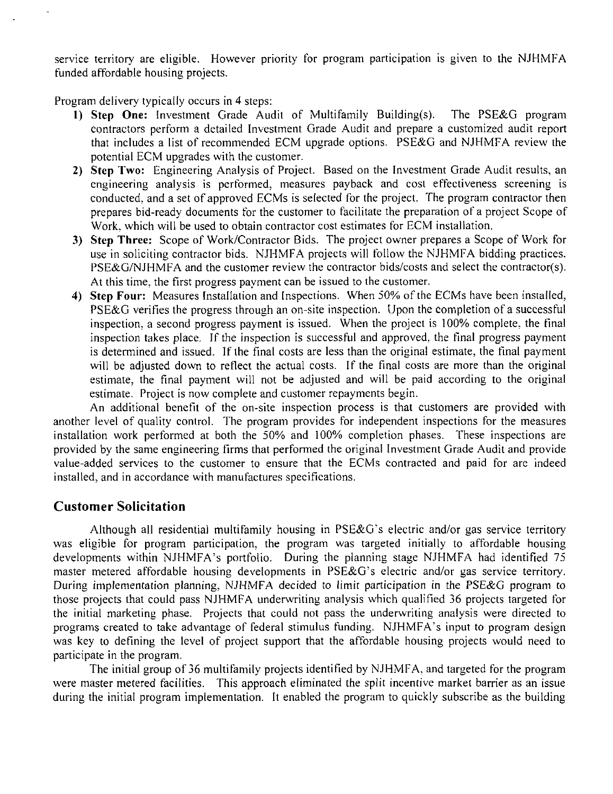service territory are eligible. However priority for program participation is given to the NJHMFA funded affordable housing projects.

Program delivery typically occurs in 4 steps:

- 1) Step One: Investment Grade Audit of Multifamily Building(s). The PSE&G program contractors perform a detailed Investment Grade Audit and prepare a customized audit report that includes a list of recommended ECM upgrade options. PSE&G and NJHMFA review the potential ECM upgrades with the customer.
- 2) Step Two: Engineering Analysis of Project. Based on the Investment Grade Audit results, an engineering analysis is performed, measures payback and cost effectiveness screening is conducted, and a set of approved ECMs is selected for the project. The program contractor then prepares bid-ready documents for the customer to facilitate the preparation of a project Scope of Work, which will be used to obtain contractor cost estimates for ECM installation.
- 3) Step Three: Scope of Work/Contractor Bids. The project owner prepares a Scope of Work for use in soliciting contractor bids. NJHMFA projects will follow the NJHMFA bidding practices. PSE&G/NJHMFA and the customer review the contractor bids/costs and select the contractor(s). At this time, the first progress payment can be issued to the customer.
- 4) Step Four: Measures Installation and Inspections. When 50% of the ECMs have been installed, PSE&G verifies the progress through an on-site inspection. Upon the completion of a successful inspection, a second progress payment is issued. When the project is 100% complete, the final inspection takes place. If the inspection is successful and approved, the final progress payment is determined and issued. If the final costs are less than the original estimate, the final payment will be adjusted down to reflect the actual costs. If the final costs are more than the original estimate, the final payment will not be adjusted and will be paid according to the original estimate. Project is now complete and customer repayments begin.

An additional benefit of the on-site inspection process is that customers are provided with another level of quality control. The program provides for independent inspections for the measures installation work performed at both the 50% and 100% completion phases. These inspections are provided by the same engineering firms that performed the original Investment Grade Audit and provide value-added services to the customer to ensure that the ECMs contracted and paid for are indeed installed, and in accordance with manufactures specifications.

## **Customer Solicitation**

Although all residential multifamily housing in PSE&G's electric and/or gas service territory was eligible for program participation, the program was targeted initially to affordable housing developments within NJHMFA's portfolio. During the planning stage NJHMFA had identified 75 master metered affordable housing developments in PSE&G's electric and/or gas service territory. During implementation planning, NJHMFA decided to limit participation in the PSE&G program to those projects that could pass NJHMFA underwriting analysis which qualified 36 projects targeted for the initial marketing phase. Projects that could not pass the underwriting analysis were directed to programs created to take advantage of federal stimulus funding. NJHMFA's input to program design was key to defining the level of project support that the affordable housing projects would need to participate in the program.

The initial group of 36 multifamily projects identified by NJHMFA, and targeted for the program were master metered facilities. This approach eliminated the split incentive market barrier as an issue during the initial program implementation. It enabled the program to quickly subscribe as the building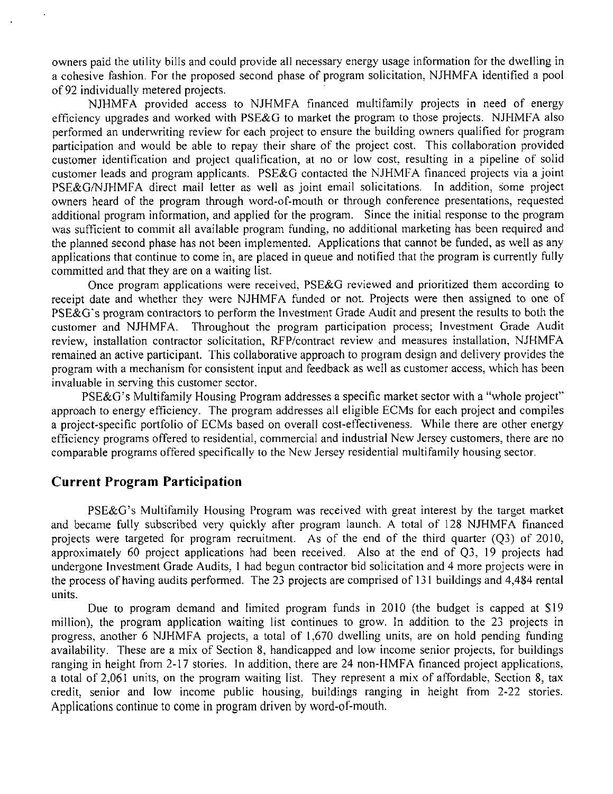owners paid the utility bills and could provide all necessary energy usage information for the dwelling in a cohesive fashion. For the proposed second phase of program solicitation, NJHMFA identified a pool of 92 individually metered projects.

NJHMFA provided access to NJHMFA financed multifamily projects in need of energy efficiency upgrades and worked with PSE&G to market the program to those projects. NJFIMFA also performed an underwriting review for each project to ensure the building owners qualified for program participation and would be able to repay their share of the project cost. This collaboration provided customer identification and project qualification, at no or low cost, resulting in a pipeline of solid customer leads and program applicants. PSE&G contacted the NJHMFA financed projects via a joint PSE&G/NJHMFA direct mail letter as well as joint email solicitations. In addition, some project owners heard of the program through word-of-mouth or through conference presentations, requested additional program information, and applied for the program. Since the initial response to the program was sufficient to commit all available program funding, no additional marketing has been required and the planned second phase has not been implemented. Applications that cannot be funded, as well as any applications that continue to come in, are placed in queue and notified that the program is currently fully committed and that they are on a waiting list.

Once program applications were received, PSE&G reviewed and prioritized them according to receipt date and whether they were NJHMFA funded or not. Projects were then assigned to one of PSE&G's program contractors to perform the Investment Grade Audit and present the results to both the customer and NJHMFA. Throughout the program participation process; Investment Grade Audit review, installation contractor solicitation, RFP/contract review and measures installation, NJHMFA remained an active participant. This collaborative approach to program design and delivery provides the program with a mechanism for consistent input and feedback as well as customer access, which has been invaluable in serving this customer sector.

PSE&G's Multifamily Housing Program addresses a specific market sector with a "whole project" approach to energy efficiency. The program addresses all eligible ECMs for each project and compiles a project-specific portfolio of ECMs based on overall cost-effectiveness. While there are other energy efficiency programs offered to residential, commercial and industrial New Jersey customers, there are no comparable programs offered specifically to the New Jersey residential multifamily housing sector.

## **Current Program Participation**

PSE&G's Multifamily Housing Program was received with great interest by the target market and became fully subscribed very quickly after program launch. A total of 128 NJFIMFA financed projects were targeted for program recruitment. As of the end of the third quarter (Q3) of 2010, approximately 60 project applications had been received. Also at the end of Q3, 19 projects had undergone Investment Grade Audits, 1 had begun contractor bid solicitation and 4 more projects were in the process of having audits performed. The 23 projects are comprised of 131 buildings and 4,484 rental units.

Due to program demand and limited program funds in 2010 (the budget is capped at \$19 million), the program application waiting list continues to grow. In addition to the 23 projects in progress, another 6 NJHMFA projects, a total of 1,670 dwelling units, are on hold pending funding availability. These are a mix of Section 8, handicapped and low income senior projects, for buildings ranging in height from 2-17 stories. In addition, there are 24 non-HMFA financed project applications, a total of 2,061 units, on the program waiting list. They represent a mix of affordable, Section 8, tax credit, senior and low income public housing, buildings ranging in height from 2-22 stories. Applications continue to come in program driven by word-of-mouth.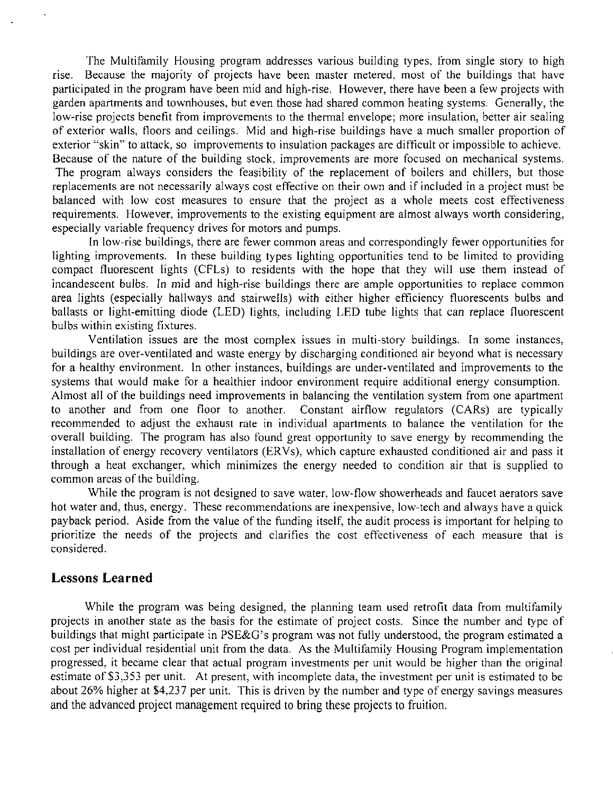The Multifamily Housing program addresses various building types, from single story to high rise. Because the majority of projects have been master metered, most of the buildings that have participated in the program have been mid and high-rise. However, there have been a few projects with garden apartments and townhouses, but even those had shared common heating systems. Generally, the low-rise projects benefit from improvements to the thermal envelope; more insulation, better air sealing of exterior walls, floors and ceilings. Mid and high-rise buildings have a much smaller proportion of exterior "skin" to attack, so improvements to insulation packages are difficult or impossible to achieve. Because of the nature of the building stock, improvements are more focused on mechanical systems. The program always considers the feasibility of the replacement of boilers and chillers, but those replacements are not necessarily always cost effective on their own and if included in a project must be balanced with low cost measures to ensure that the project as a whole meets cost effectiveness requirements. However, improvements to the existing equipment are almost always worth considering, especially variable frequency drives for motors and pumps.

In low-rise buildings, there are fewer common areas and correspondingly fewer opportunities for lighting improvements. In these building types lighting opportunities tend to be limited to providing compact fluorescent lights (CFLs) to residents with the hope that they will use them instead of incandescent bulbs. In mid and high-rise buildings there are ample opportunities to replace common area lights (especially hallways and stairwells) with either higher efficiency fluorescents bulbs and ballasts or light-emitting diode (LED) lights, including LED tube lights that can replace fluorescent bulbs within existing fixtures.

Ventilation issues are the most complex issues in multi-story buildings. In some instances, buildings are over-ventilated and waste energy by discharging conditioned air beyond what is necessary for a healthy environment. In other instances, buildings are under-ventilated and improvements to the systems that would make for a healthier indoor environment require additional energy consumption. Almost all of the buildings need improvements in balancing the ventilation system from one apartment to another and from one floor to another. Constant airflow regulators (CARs) are typically recommended to adjust the exhaust rate in individual apartments to balance the ventilation for the overall building. The program has also found great opportunity to save energy by recommending the installation of energy recovery ventilators (ERVs), which capture exhausted conditioned air and pass it through a heat exchanger, which minimizes the energy needed to condition air that is supplied to common areas of the building.

While the program is not designed to save water, low-flow showerheads and faucet aerators save hot water and, thus, energy. These recommendations are inexpensive, low-tech and always have a quick payback period. Aside from the value of the funding itself, the audit process is important for helping to prioritize the needs of the projects and clarifies the cost effectiveness of each measure that is considered.

## **Lessons Learned**

While the program was being designed, the planning team used retrofit data from multifamily projects in another state as the basis for the estimate of project costs. Since the number and type of buildings that might participate in PSE&G's program was not fully understood, the program estimated a cost per individual residential unit from the data. As the Multifamily Housing Program implementation progressed, it became clear that actual program investments per unit would be higher than the original estimate of \$3,353 per unit. At present, with incomplete data, the investment per unit is estimated to be about 26% higher at \$4,237 per unit. This is driven by the number and type of energy savings measures and the advanced project management required to bring these projects to fruition.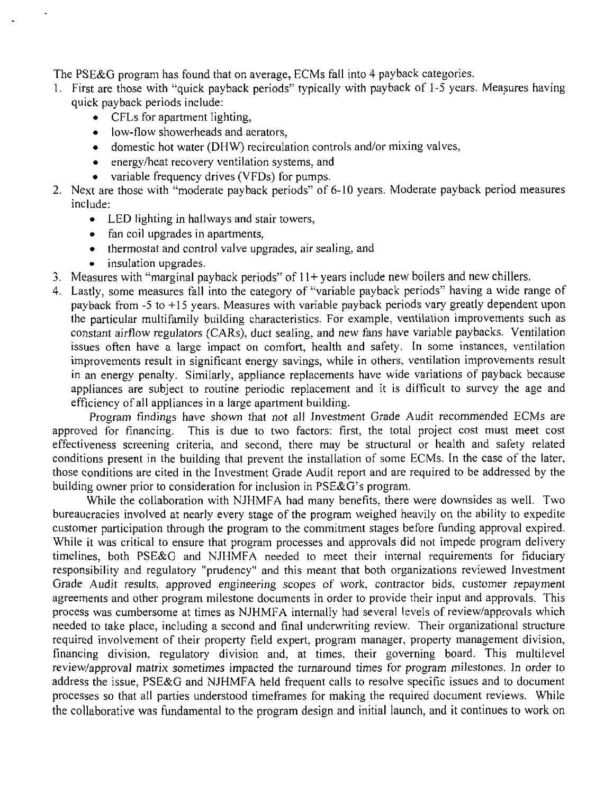The PSE&G program has found that on average, ECMs fall into 4 payback categories.

- 1. First are those with "quick payback periods" typically with payback of 1-5 years. Measures having quick payback periods include:
	- CFLs for apartment lighting,
	- low-flow showerheads and aerators,
	- domestic hot water (DHW) recirculation controls and/or mixing valves,
	- energy/heat recovery ventilation systems, and
	- variable frequency drives (VFDs) for pumps.
- 2. Next are those with "moderate payback periods" of 6-10 years. Moderate payback period measures include:
	- LED lighting in hallways and stair towers,
	- fan coil upgrades in apartments,
	- thermostat and control valve upgrades, air sealing, and
	- insulation upgrades.
- 3. Measures with "marginal payback periods" of 11+ years include new boilers and new chillers.
- 4. Lastly, some measures fall into the category of "variable payback periods" having a wide range of payback from -5 to +15 years. Measures with variable payback periods vary greatly dependent upon the particular multifamily building characteristics. For example, ventilation improvements such as constant airflow regulators (CARs), duct sealing, and new fans have variable paybacks. Ventilation issues often have a large impact on comfort, health and safety. In some instances, ventilation improvements result in significant energy savings, while in others, ventilation improvements result in an energy penalty. Similarly, appliance replacements have wide variations of payback because appliances are subject to routine periodic replacement and it is difficult to survey the age and efficiency of all appliances in a large apartment building.

Program findings have shown that not all Investment Grade Audit recommended ECMs are approved for financing. This is due to two factors: first, the total project cost must meet cost effectiveness screening criteria, and second, there may be structural or health and safety related conditions present in the building that prevent the installation of some ECMs. In the case of the later, those conditions are cited in the Investment Grade Audit report and are required to be addressed by the building owner prior to consideration for inclusion in PSE&G's program.

While the collaboration with NJHMFA had many benefits, there were downsides as well. Two bureaucracies involved at nearly every stage of the program weighed heavily on the ability to expedite customer participation through the program to the commitment stages before funding approval expired. While it was critical to ensure that program processes and approvals did not impede program delivery timelines, both PSE&G and NJHMFA needed to meet their internal requirements for fiduciary responsibility and regulatory "prudency" and this meant that both organizations reviewed Investment Grade Audit results, approved engineering scopes of work, contractor bids, customer repayment agreements and other program milestone documents in order to provide their input and approvals. This process was cumbersome at times as NJHMFA internally had several levels of review/approvals which needed to take place, including a second and final underwriting review. Their organizational structure required involvement of their property field expert, program manager, property management division, financing division, regulatory division and, at times, their governing board. This multilevel review/approval matrix sometimes impacted the turnaround times for program milestones. In order to address the issue, PSE&G and NJHMFA held frequent calls to resolve specific issues and to document processes so that all parties understood timeframes for making the required document reviews. While the collaborative was fundamental to the program design and initial launch, and it continues to work on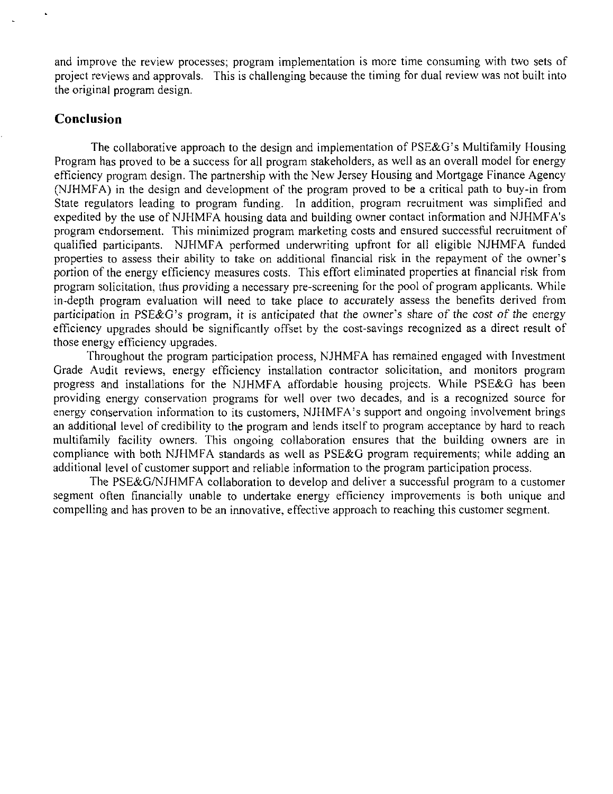and improve the review processes; program implementation is more time consuming with two sets of project reviews and approvals. This is challenging because the timing for dual review was not built into the original program design.

## **Conclusion**

The collaborative approach to the design and implementation of PSE&G's Multifamily Housing Program has proved to be a success for all program stakeholders, as well as an overall model for energy efficiency program design. The partnership with the New Jersey Housing and Mortgage Finance Agency (NJHMFA) in the design and development of the program proved to be a critical path to buy-in from State regulators leading to program funding. In addition, program recruitment was simplified and expedited by the use of NJHMFA housing data and building owner contact information and NJHMFA's program endorsement. This minimized program marketing costs and ensured successful recruitment of qualified participants. NJHMFA performed underwriting upfront for all eligible NJHMFA funded properties to assess their ability to take on additional financial risk in the repayment of the owner's portion of the energy efficiency measures costs. This effort eliminated properties at financial risk from program solicitation, thus providing a necessary pre-screening for the pool of program applicants. While in-depth program evaluation will need to take place to accurately assess the benefits derived from participation in PSE&G's program, it is anticipated that the owner's share of the cost of the energy efficiency upgrades should be significantly offset by the cost-savings recognized as a direct result of those energy efficiency upgrades.

Throughout the program participation process, NJHMFA has remained engaged with Investment Grade Audit reviews, energy efficiency installation contractor solicitation, and monitors program progress and installations for the NJHMFA affordable housing projects. While PSE&G has been providing energy conservation programs for well over two decades, and is a recognized source for energy conservation information to its customers, NJHMFA's support and ongoing involvement brings an additional level of credibility to the program and lends itself to program acceptance by hard to reach multifamily facility owners. This ongoing collaboration ensures that the building owners are in compliance with both NJHMFA standards as well as PSE&G program requirements; while adding an additional level of customer support and reliable information to the program participation process.

The PSE&G/NJHMFA collaboration to develop and deliver a successful program to a customer segment often financially unable to undertake energy efficiency improvements is both unique and compelling and has proven to be an innovative, effective approach to reaching this customer segment.